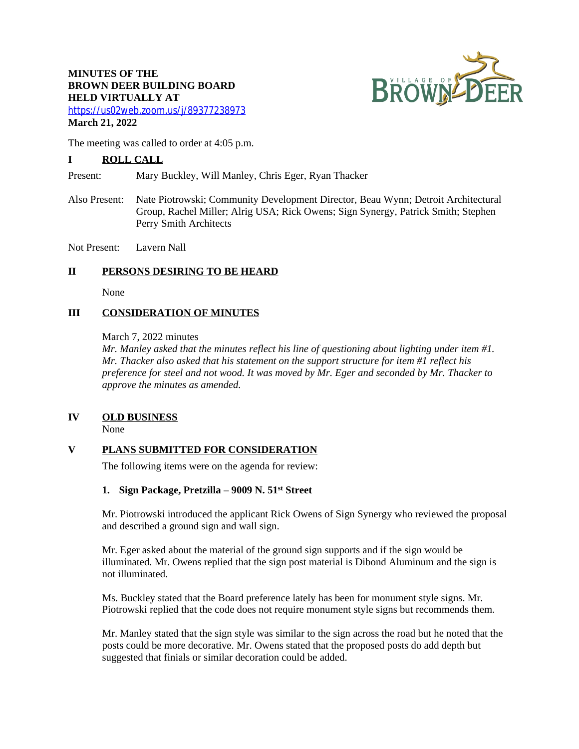# **MINUTES OF THE BROWN DEER BUILDING BOARD HELD VIRTUALLY AT**



<https://us02web.zoom.us/j/89377238973> **March 21, 2022**

The meeting was called to order at 4:05 p.m.

# **I ROLL CALL**

Present: Mary Buckley, Will Manley, Chris Eger, Ryan Thacker

Also Present: Nate Piotrowski; Community Development Director, Beau Wynn; Detroit Architectural Group, Rachel Miller; Alrig USA; Rick Owens; Sign Synergy, Patrick Smith; Stephen Perry Smith Architects

Not Present: Lavern Nall

## **II PERSONS DESIRING TO BE HEARD**

None

# **III CONSIDERATION OF MINUTES**

March 7, 2022 minutes

*Mr. Manley asked that the minutes reflect his line of questioning about lighting under item #1. Mr. Thacker also asked that his statement on the support structure for item #1 reflect his preference for steel and not wood. It was moved by Mr. Eger and seconded by Mr. Thacker to approve the minutes as amended.*

## **IV OLD BUSINESS**

None

# **V PLANS SUBMITTED FOR CONSIDERATION**

The following items were on the agenda for review:

## **1. Sign Package, Pretzilla – 9009 N. 51st Street**

Mr. Piotrowski introduced the applicant Rick Owens of Sign Synergy who reviewed the proposal and described a ground sign and wall sign.

Mr. Eger asked about the material of the ground sign supports and if the sign would be illuminated. Mr. Owens replied that the sign post material is Dibond Aluminum and the sign is not illuminated.

Ms. Buckley stated that the Board preference lately has been for monument style signs. Mr. Piotrowski replied that the code does not require monument style signs but recommends them.

Mr. Manley stated that the sign style was similar to the sign across the road but he noted that the posts could be more decorative. Mr. Owens stated that the proposed posts do add depth but suggested that finials or similar decoration could be added.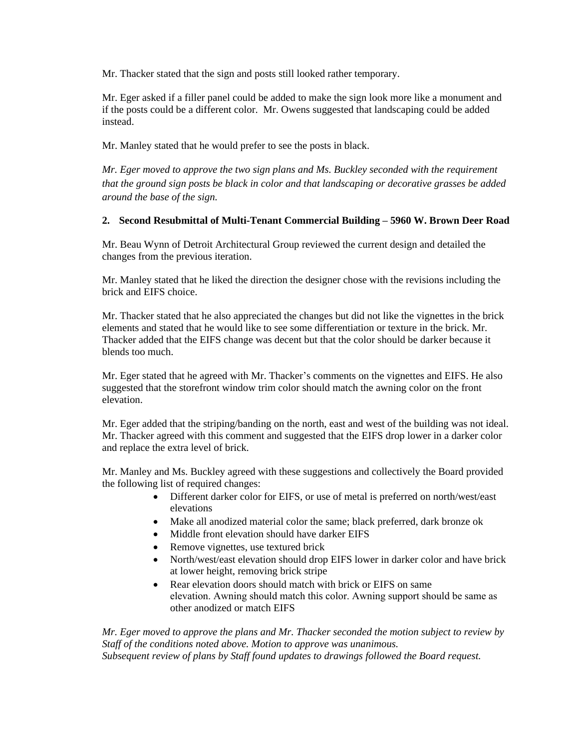Mr. Thacker stated that the sign and posts still looked rather temporary.

Mr. Eger asked if a filler panel could be added to make the sign look more like a monument and if the posts could be a different color. Mr. Owens suggested that landscaping could be added instead.

Mr. Manley stated that he would prefer to see the posts in black.

*Mr. Eger moved to approve the two sign plans and Ms. Buckley seconded with the requirement that the ground sign posts be black in color and that landscaping or decorative grasses be added around the base of the sign.*

# **2. Second Resubmittal of Multi-Tenant Commercial Building – 5960 W. Brown Deer Road**

Mr. Beau Wynn of Detroit Architectural Group reviewed the current design and detailed the changes from the previous iteration.

Mr. Manley stated that he liked the direction the designer chose with the revisions including the brick and EIFS choice.

Mr. Thacker stated that he also appreciated the changes but did not like the vignettes in the brick elements and stated that he would like to see some differentiation or texture in the brick. Mr. Thacker added that the EIFS change was decent but that the color should be darker because it blends too much.

Mr. Eger stated that he agreed with Mr. Thacker's comments on the vignettes and EIFS. He also suggested that the storefront window trim color should match the awning color on the front elevation.

Mr. Eger added that the striping/banding on the north, east and west of the building was not ideal. Mr. Thacker agreed with this comment and suggested that the EIFS drop lower in a darker color and replace the extra level of brick.

Mr. Manley and Ms. Buckley agreed with these suggestions and collectively the Board provided the following list of required changes:

- Different darker color for EIFS, or use of metal is preferred on north/west/east elevations
- Make all anodized material color the same; black preferred, dark bronze ok
- Middle front elevation should have darker EIFS
- Remove vignettes, use textured brick
- North/west/east elevation should drop EIFS lower in darker color and have brick at lower height, removing brick stripe
- Rear elevation doors should match with brick or EIFS on same elevation. Awning should match this color. Awning support should be same as other anodized or match EIFS

*Mr. Eger moved to approve the plans and Mr. Thacker seconded the motion subject to review by Staff of the conditions noted above. Motion to approve was unanimous. Subsequent review of plans by Staff found updates to drawings followed the Board request.*